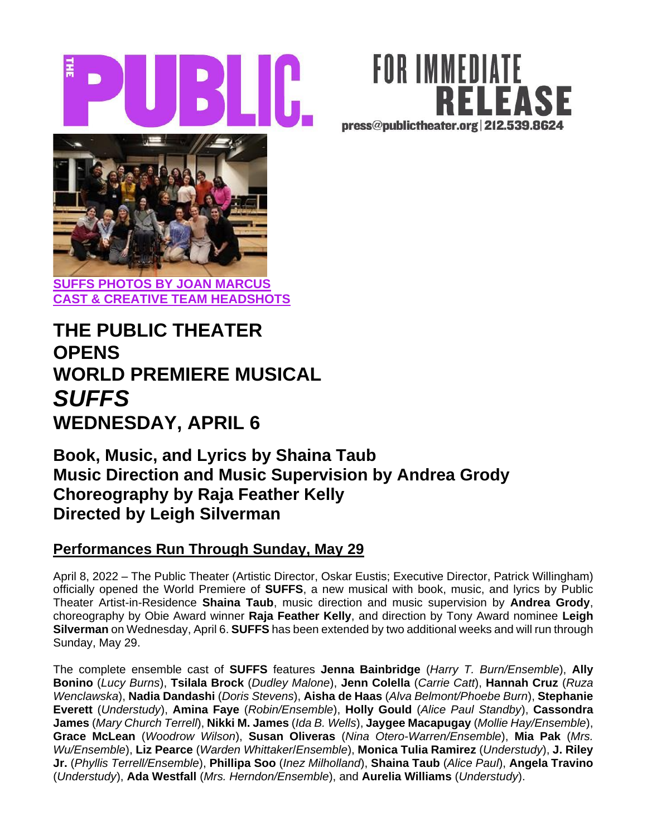





# **THE PUBLIC THEATER OPENS WORLD PREMIERE MUSICAL** *SUFFS* **WEDNESDAY, APRIL 6**

## **Book, Music, and Lyrics by Shaina Taub Music Direction and Music Supervision by Andrea Grody Choreography by Raja Feather Kelly Directed by Leigh Silverman**

### **Performances Run Through Sunday, May 29**

April 8, 2022 – The Public Theater (Artistic Director, Oskar Eustis; Executive Director, Patrick Willingham) officially opened the World Premiere of **SUFFS**, a new musical with book, music, and lyrics by Public Theater Artist-in-Residence **Shaina Taub**, music direction and music supervision by **Andrea Grody**, choreography by Obie Award winner **Raja Feather Kelly**, and direction by Tony Award nominee **Leigh Silverman** on Wednesday, April 6. **SUFFS** has been extended by two additional weeks and will run through Sunday, May 29.

The complete ensemble cast of **SUFFS** features **Jenna Bainbridge** (*Harry T. Burn/Ensemble*), **Ally Bonino** (*Lucy Burns*), **Tsilala Brock** (*Dudley Malone*), **Jenn Colella** (*Carrie Catt*), **Hannah Cruz** (*Ruza Wenclawska*), **Nadia Dandashi** (*Doris Stevens*), **Aisha de Haas** (*Alva Belmont/Phoebe Burn*), **Stephanie Everett** (*Understudy*), **Amina Faye** (*Robin/Ensemble*), **Holly Gould** (*Alice Paul Standby*), **Cassondra James** (*Mary Church Terrell*), **Nikki M. James** (*Ida B. Wells*), **Jaygee Macapugay** (*Mollie Hay/Ensemble*), **Grace McLean** (*Woodrow Wilson*), **Susan Oliveras** (*Nina Otero-Warren/Ensemble*), **Mia Pak** (*Mrs. Wu/Ensemble*), **Liz Pearce** (*Warden Whittaker*/*Ensemble*), **Monica Tulia Ramirez** (*Understudy*), **J. Riley Jr.** (*Phyllis Terrell/Ensemble*), **Phillipa Soo** (*Inez Milholland*), **Shaina Taub** (*Alice Paul*), **Angela Travino**  (*Understudy*), **Ada Westfall** (*Mrs. Herndon/Ensemble*), and **Aurelia Williams** (*Understudy*).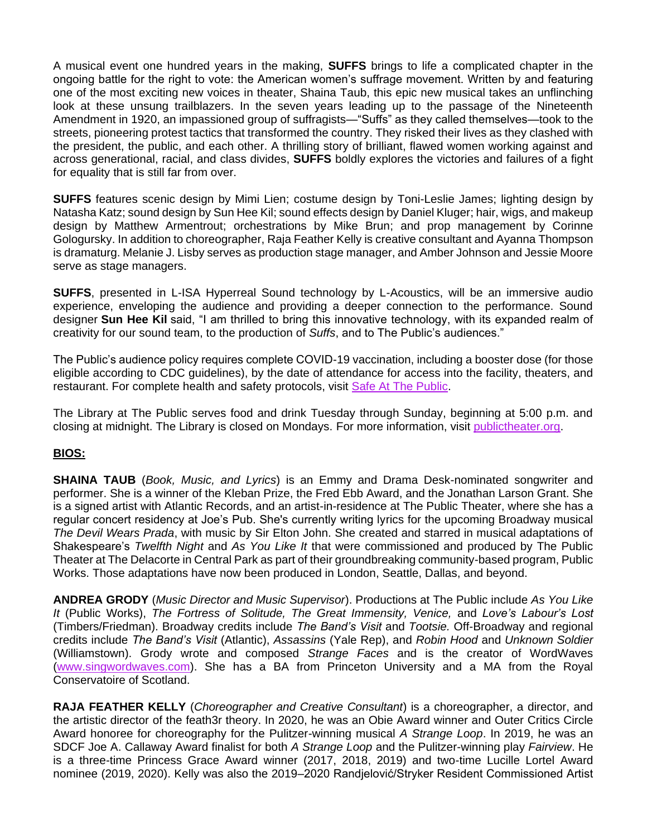A musical event one hundred years in the making, **SUFFS** brings to life a complicated chapter in the ongoing battle for the right to vote: the American women's suffrage movement. Written by and featuring one of the most exciting new voices in theater, Shaina Taub, this epic new musical takes an unflinching look at these unsung trailblazers. In the seven years leading up to the passage of the Nineteenth Amendment in 1920, an impassioned group of suffragists—"Suffs" as they called themselves—took to the streets, pioneering protest tactics that transformed the country. They risked their lives as they clashed with the president, the public, and each other. A thrilling story of brilliant, flawed women working against and across generational, racial, and class divides, **SUFFS** boldly explores the victories and failures of a fight for equality that is still far from over.

**SUFFS** features scenic design by Mimi Lien; costume design by Toni-Leslie James; lighting design by Natasha Katz; sound design by Sun Hee Kil; sound effects design by Daniel Kluger; hair, wigs, and makeup design by Matthew Armentrout; orchestrations by Mike Brun; and prop management by Corinne Gologursky. In addition to choreographer, Raja Feather Kelly is creative consultant and Ayanna Thompson is dramaturg. Melanie J. Lisby serves as production stage manager, and Amber Johnson and Jessie Moore serve as stage managers.

**SUFFS**, presented in L-ISA Hyperreal Sound technology by L-Acoustics, will be an immersive audio experience, enveloping the audience and providing a deeper connection to the performance. Sound designer **Sun Hee Kil** said, "I am thrilled to bring this innovative technology, with its expanded realm of creativity for our sound team, to the production of *Suffs*, and to The Public's audiences."

The Public's audience policy requires complete COVID-19 vaccination, including a booster dose (for those eligible according to CDC guidelines), by the date of attendance for access into the facility, theaters, and restaurant. For complete health and safety protocols, visit [Safe At The Public.](http://thepublic.nyc/safeatthepublic)

The Library at The Public serves food and drink Tuesday through Sunday, beginning at 5:00 p.m. and closing at midnight. The Library is closed on Mondays. For more information, visit [publictheater.org.](http://www.publictheater.org/)

#### **BIOS:**

**SHAINA TAUB** (*Book, Music, and Lyrics*) is an Emmy and Drama Desk-nominated songwriter and performer. She is a winner of the Kleban Prize, the Fred Ebb Award, and the Jonathan Larson Grant. She is a signed artist with Atlantic Records, and an artist-in-residence at The Public Theater, where she has a regular concert residency at Joe's Pub. She's currently writing lyrics for the upcoming Broadway musical *The Devil Wears Prada*, with music by Sir Elton John. She created and starred in musical adaptations of Shakespeare's *Twelfth Night* and *As You Like It* that were commissioned and produced by The Public Theater at The Delacorte in Central Park as part of their groundbreaking community-based program, Public Works. Those adaptations have now been produced in London, Seattle, Dallas, and beyond.

**ANDREA GRODY** (*Music Director and Music Supervisor*). Productions at The Public include *As You Like It* (Public Works), *The Fortress of Solitude, The Great Immensity, Venice,* and *Love's Labour's Lost*  (Timbers/Friedman). Broadway credits include *The Band's Visit* and *Tootsie.* Off-Broadway and regional credits include *The Band's Visit* (Atlantic), *Assassins* (Yale Rep), and *Robin Hood* and *Unknown Soldier* (Williamstown). Grody wrote and composed *Strange Faces* and is the creator of WordWaves [\(www.singwordwaves.com\)](http://www.singwordwaves.com/). She has a BA from Princeton University and a MA from the Royal Conservatoire of Scotland.

**RAJA FEATHER KELLY** (*Choreographer and Creative Consultant*) is a choreographer, a director, and the artistic director of the feath3r theory. In 2020, he was an Obie Award winner and Outer Critics Circle Award honoree for choreography for the Pulitzer-winning musical *A Strange Loop*. In 2019, he was an SDCF Joe A. Callaway Award finalist for both *A Strange Loop* and the Pulitzer-winning play *Fairview*. He is a three-time Princess Grace Award winner (2017, 2018, 2019) and two-time Lucille Lortel Award nominee (2019, 2020). Kelly was also the 2019–2020 Randjelović/Stryker Resident Commissioned Artist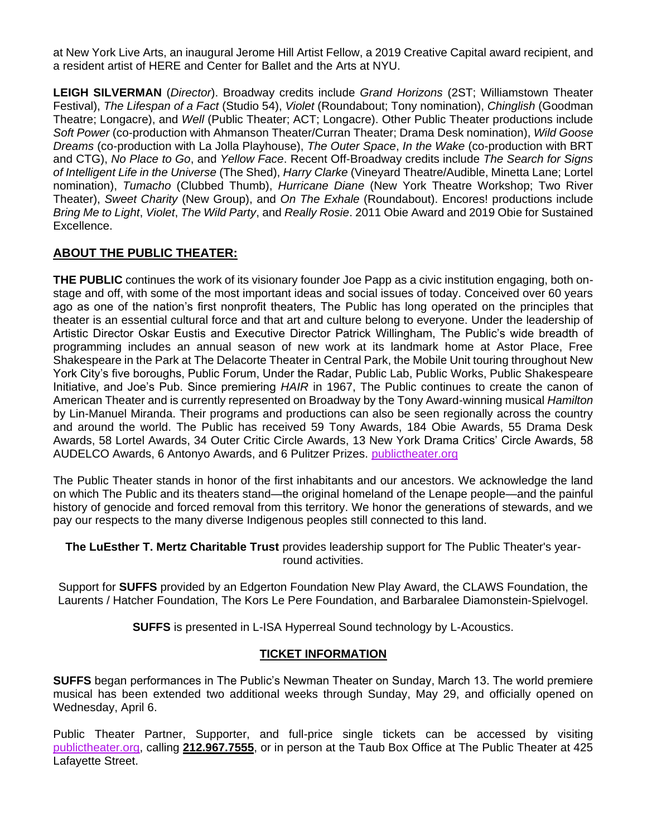at New York Live Arts, an inaugural Jerome Hill Artist Fellow, a 2019 Creative Capital award recipient, and a resident artist of HERE and Center for Ballet and the Arts at NYU.

**LEIGH SILVERMAN** (*Director*). Broadway credits include *Grand Horizons* (2ST; Williamstown Theater Festival), *The Lifespan of a Fact* (Studio 54), *Violet* (Roundabout; Tony nomination), *Chinglish* (Goodman Theatre; Longacre), and *Well* (Public Theater; ACT; Longacre). Other Public Theater productions include *Soft Power* (co-production with Ahmanson Theater/Curran Theater; Drama Desk nomination), *Wild Goose Dreams* (co-production with La Jolla Playhouse), *The Outer Space*, *In the Wake* (co-production with BRT and CTG), *No Place to Go*, and *Yellow Face*. Recent Off-Broadway credits include *The Search for Signs of Intelligent Life in the Universe* (The Shed), *Harry Clarke* (Vineyard Theatre/Audible, Minetta Lane; Lortel nomination), *Tumacho* (Clubbed Thumb), *Hurricane Diane* (New York Theatre Workshop; Two River Theater), *Sweet Charity* (New Group), and *On The Exhale* (Roundabout). Encores! productions include *Bring Me to Light*, *Violet*, *The Wild Party*, and *Really Rosie*. 2011 Obie Award and 2019 Obie for Sustained Excellence.

#### **ABOUT THE PUBLIC THEATER:**

**THE PUBLIC** continues the work of its visionary founder Joe Papp as a civic institution engaging, both onstage and off, with some of the most important ideas and social issues of today. Conceived over 60 years ago as one of the nation's first nonprofit theaters, The Public has long operated on the principles that theater is an essential cultural force and that art and culture belong to everyone. Under the leadership of Artistic Director Oskar Eustis and Executive Director Patrick Willingham, The Public's wide breadth of programming includes an annual season of new work at its landmark home at Astor Place, Free Shakespeare in the Park at The Delacorte Theater in Central Park, the Mobile Unit touring throughout New York City's five boroughs, Public Forum, Under the Radar, Public Lab, Public Works, Public Shakespeare Initiative, and Joe's Pub. Since premiering *HAIR* in 1967, The Public continues to create the canon of American Theater and is currently represented on Broadway by the Tony Award-winning musical *Hamilton*  by Lin-Manuel Miranda. Their programs and productions can also be seen regionally across the country and around the world. The Public has received 59 Tony Awards, 184 Obie Awards, 55 Drama Desk Awards, 58 Lortel Awards, 34 Outer Critic Circle Awards, 13 New York Drama Critics' Circle Awards, 58 AUDELCO Awards, 6 Antonyo Awards, and 6 Pulitzer Prizes[.](http://publictheater.org/) [publictheater.org](http://publictheater.org/)

The Public Theater stands in honor of the first inhabitants and our ancestors. We acknowledge the land on which The Public and its theaters stand—the original homeland of the Lenape people—and the painful history of genocide and forced removal from this territory. We honor the generations of stewards, and we pay our respects to the many diverse Indigenous peoples still connected to this land.

**The LuEsther T. Mertz Charitable Trust** provides leadership support for The Public Theater's yearround activities.

Support for **SUFFS** provided by an Edgerton Foundation New Play Award, the CLAWS Foundation, the Laurents / Hatcher Foundation, The Kors Le Pere Foundation, and Barbaralee Diamonstein-Spielvogel.

**SUFFS** is presented in L-ISA Hyperreal Sound technology by L-Acoustics.

#### **TICKET INFORMATION**

**SUFFS** began performances in The Public's Newman Theater on Sunday, March 13. The world premiere musical has been extended two additional weeks through Sunday, May 29, and officially opened on Wednesday, April 6.

Public Theater Partner, Supporter, and full-price single tickets can be accessed by visiting [publictheater.org,](http://www.publictheater.org/) calling **212.967.7555**, or in person at the Taub Box Office at The Public Theater at 425 Lafayette Street.